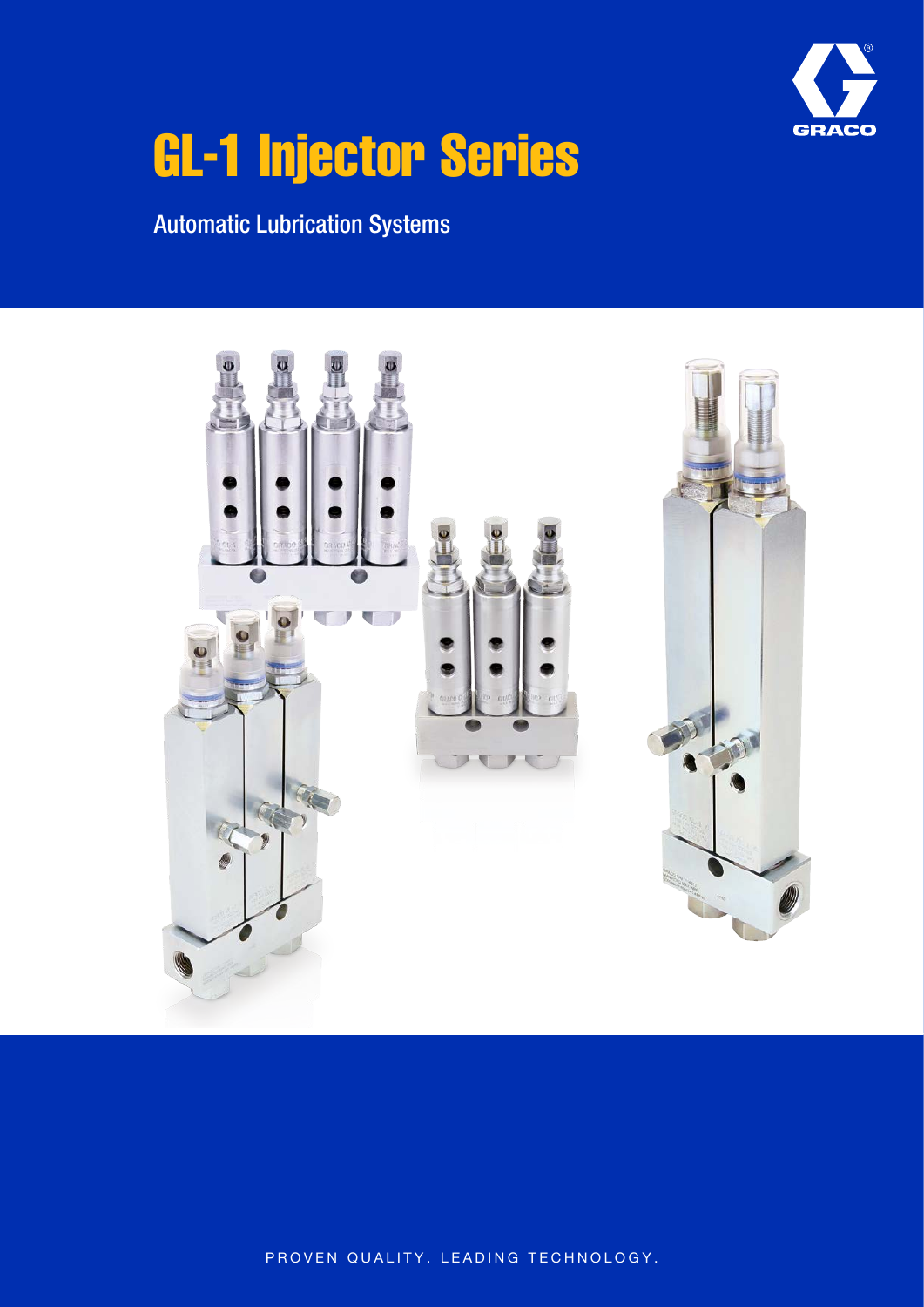

# GL-1 Injector Series

Automatic Lubrication Systems



PROVEN QUALITY. LEADING TECHNOLOGY.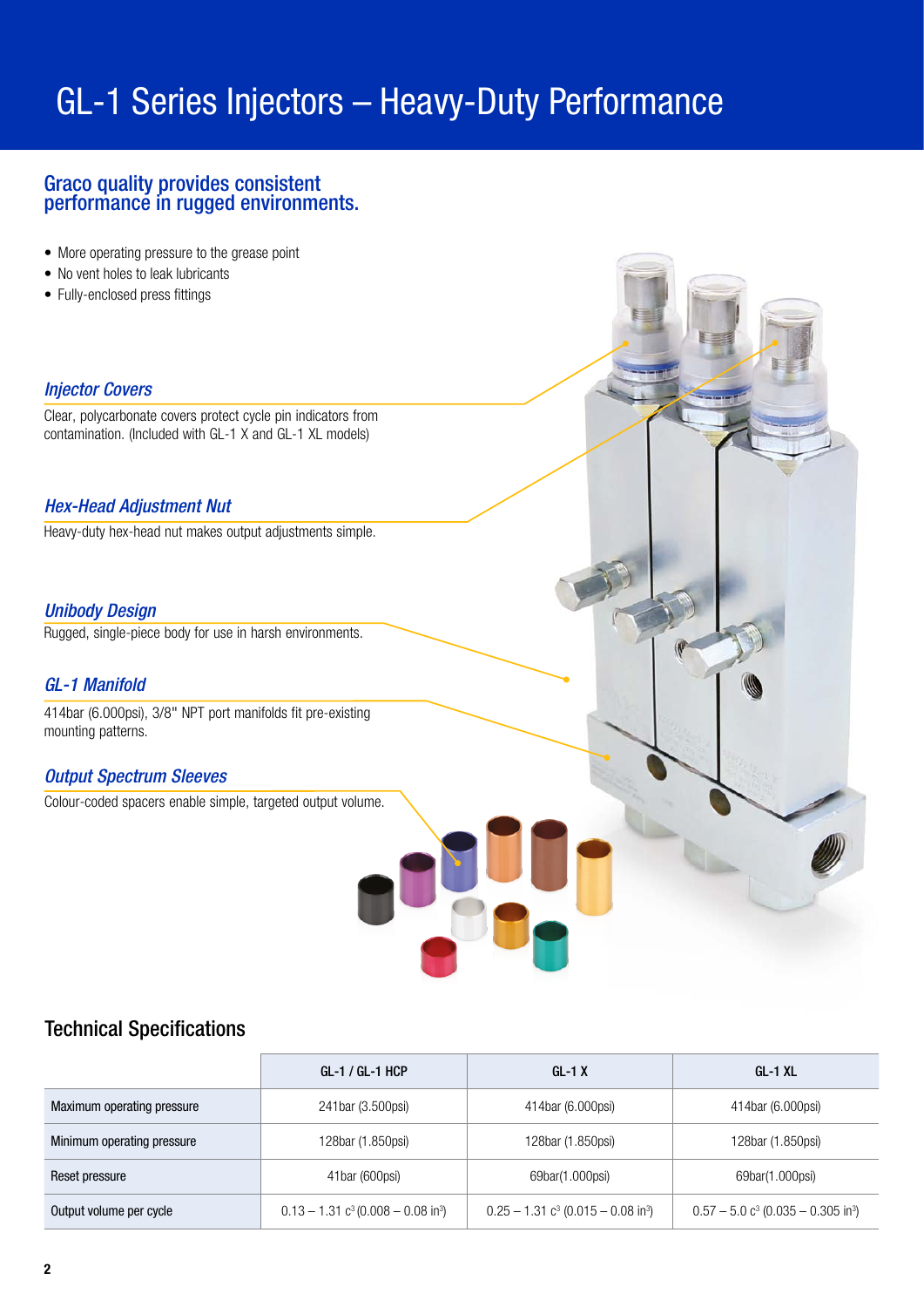# GL-1 Series Injectors – Heavy-Duty Performance

# Graco quality provides consistent performance in rugged environments.

- More operating pressure to the grease point
- No vent holes to leak lubricants
- Fully-enclosed press fittings

# *Injector Covers*

Clear, polycarbonate covers protect cycle pin indicators from contamination. (Included with GL-1 X and GL-1 XL models)

### *Hex-Head Adjustment Nut*

Heavy-duty hex-head nut makes output adjustments simple.

### *Unibody Design*

Rugged, single-piece body for use in harsh environments.

### *GL-1 Manifold*

414bar (6.000psi), 3/8" NPT port manifolds fit pre-existing mounting patterns.

# *Output Spectrum Sleeves*

Colour-coded spacers enable simple, targeted output volume.

# Technical Specifications

|                            | GL-1 / GL-1 HCP                                              | $GL-1X$                                                      | GL-1 XL                                                      |
|----------------------------|--------------------------------------------------------------|--------------------------------------------------------------|--------------------------------------------------------------|
| Maximum operating pressure | 241bar (3.500psi)                                            | 414bar (6.000psi)                                            | 414bar (6.000psi)                                            |
| Minimum operating pressure | 128bar (1.850psi)                                            | 128bar (1.850psi)                                            | 128bar (1.850psi)                                            |
| Reset pressure             | 41bar (600psi)                                               | 69bar(1.000psi)                                              | 69bar(1.000psi)                                              |
| Output volume per cycle    | $0.13 - 1.31$ c <sup>3</sup> (0.008 - 0.08 in <sup>3</sup> ) | $0.25 - 1.31$ c <sup>3</sup> (0.015 - 0.08 in <sup>3</sup> ) | $0.57 - 5.0$ c <sup>3</sup> (0.035 - 0.305 in <sup>3</sup> ) |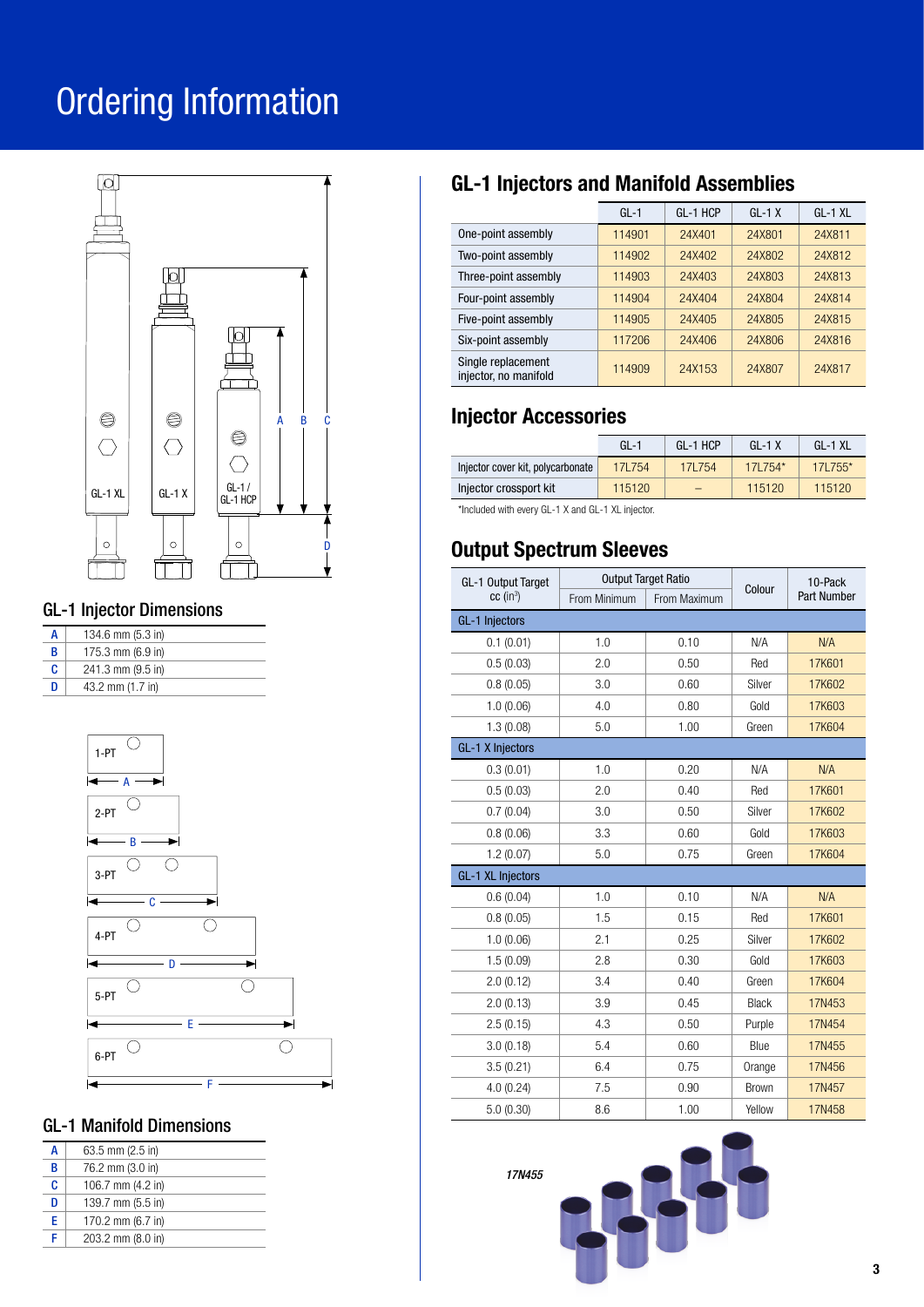# Ordering Information



# GL-1 Injector Dimensions

| А | 134.6 mm (5.3 in) |
|---|-------------------|
| B | 175.3 mm (6.9 in) |
| c | 241.3 mm (9.5 in) |
| n | 43.2 mm (1.7 in)  |



# GL-1 Manifold Dimensions

| A | $63.5$ mm $(2.5)$ in        |
|---|-----------------------------|
| B | 76.2 mm (3.0 in)            |
| c | 106.7 mm $(4.2 \text{ in})$ |
| D | 139.7 mm (5.5 in)           |
| F | 170.2 mm (6.7 in)           |
| F | 203.2 mm (8.0 in)           |

# GL-1 Injectors and Manifold Assemblies

|                                             | $GL-1$ | GL-1 HCP | $GL-1 X$ | $GL-1$ XL |
|---------------------------------------------|--------|----------|----------|-----------|
| One-point assembly                          | 114901 | 24X401   | 24X801   | 24X811    |
| Two-point assembly                          | 114902 | 24X402   | 24X802   | 24X812    |
| Three-point assembly                        | 114903 | 24X403   | 24X803   | 24X813    |
| Four-point assembly                         | 114904 | 24X404   | 24X804   | 24X814    |
| Five-point assembly                         | 114905 | 24X405   | 24X805   | 24X815    |
| Six-point assembly                          | 117206 | 24X406   | 24X806   | 24X816    |
| Single replacement<br>injector, no manifold | 114909 | 24X153   | 24X807   | 24X817    |

# Injector Accessories

|                                   | $GI -1$ | GL-1 HCP | $GI - 1X$ | GL-1 XL   |
|-----------------------------------|---------|----------|-----------|-----------|
| Injector cover kit, polycarbonate | 17L754  | 171754   | 171754*   | $171755*$ |
| Injector crossport kit            | 115120  |          | 115120    | 115120    |

\*Included with every GL-1 X and GL-1 XL injector.

# Output Spectrum Sleeves

| GL-1 Output Target       | <b>Output Target Ratio</b> |              | Colour       | 10-Pack            |
|--------------------------|----------------------------|--------------|--------------|--------------------|
| $cc$ (in <sup>3</sup> )  | From Minimum               | From Maximum |              | <b>Part Number</b> |
| <b>GL-1 Injectors</b>    |                            |              |              |                    |
| 0.1(0.01)                | 1.0                        | 0.10         | N/A          | N/A                |
| 0.5(0.03)                | 2.0                        | 0.50         | Red          | 17K601             |
| 0.8(0.05)                | 3.0                        | 0.60         | Silver       | 17K602             |
| 1.0(0.06)                | 4.0                        | 0.80         | Gold         | 17K603             |
| 1.3(0.08)                | 5.0                        | 1.00         | Green        | 17K604             |
| <b>GL-1 X Injectors</b>  |                            |              |              |                    |
| 0.3(0.01)                | 1.0                        | 0.20         | N/A          | N/A                |
| 0.5(0.03)                | 2.0                        | 0.40         | Red          | 17K601             |
| 0.7(0.04)                | 3.0                        | 0.50         | Silver       | 17K602             |
| 0.8(0.06)                | 3.3                        | 0.60         | Gold         | 17K603             |
| 1.2(0.07)                | 5.0                        | 0.75         | Green        | 17K604             |
| <b>GL-1 XL Injectors</b> |                            |              |              |                    |
| 0.6(0.04)                | 1.0                        | 0.10         | N/A          | N/A                |
| 0.8(0.05)                | 1.5                        | 0.15         | Red          | 17K601             |
| 1.0(0.06)                | 2.1                        | 0.25         | Silver       | 17K602             |
| 1.5(0.09)                | 2.8                        | 0.30         | Gold         | 17K603             |
| 2.0(0.12)                | 3.4                        | 0.40         | Green        | 17K604             |
| 2.0(0.13)                | 3.9                        | 0.45         | <b>Black</b> | 17N453             |
| 2.5(0.15)                | 4.3                        | 0.50         | Purple       | 17N454             |
| 3.0(0.18)                | 5.4                        | 0.60         | Blue         | 17N455             |
| 3.5(0.21)                | 6.4                        | 0.75         | Orange       | 17N456             |
| 4.0(0.24)                | 7.5                        | 0.90         | <b>Brown</b> | 17N457             |
| 5.0(0.30)                | 8.6                        | 1.00         | Yellow       | 17N458             |

*17N455*